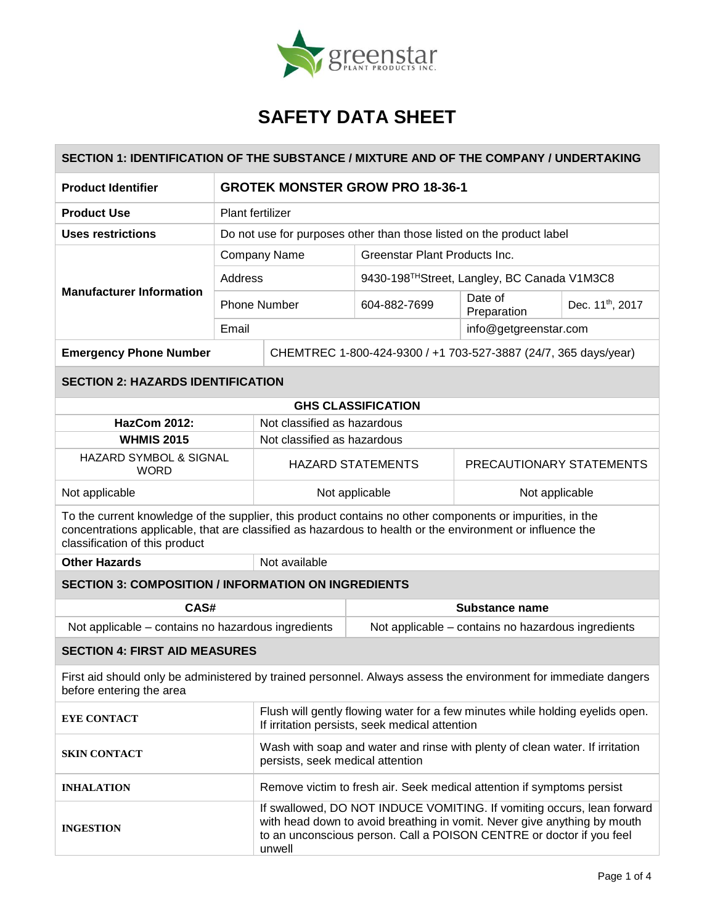

| SECTION 1: IDENTIFICATION OF THE SUBSTANCE / MIXTURE AND OF THE COMPANY / UNDERTAKING                                                                                                                                                                    |                                                                      |                                                                                                                                                                                                                                      |                                                                 |                          |                              |  |
|----------------------------------------------------------------------------------------------------------------------------------------------------------------------------------------------------------------------------------------------------------|----------------------------------------------------------------------|--------------------------------------------------------------------------------------------------------------------------------------------------------------------------------------------------------------------------------------|-----------------------------------------------------------------|--------------------------|------------------------------|--|
| <b>Product Identifier</b>                                                                                                                                                                                                                                | <b>GROTEK MONSTER GROW PRO 18-36-1</b>                               |                                                                                                                                                                                                                                      |                                                                 |                          |                              |  |
| <b>Product Use</b>                                                                                                                                                                                                                                       | Plant fertilizer                                                     |                                                                                                                                                                                                                                      |                                                                 |                          |                              |  |
| <b>Uses restrictions</b>                                                                                                                                                                                                                                 | Do not use for purposes other than those listed on the product label |                                                                                                                                                                                                                                      |                                                                 |                          |                              |  |
| <b>Manufacturer Information</b>                                                                                                                                                                                                                          | <b>Company Name</b>                                                  |                                                                                                                                                                                                                                      | Greenstar Plant Products Inc.                                   |                          |                              |  |
|                                                                                                                                                                                                                                                          | Address                                                              |                                                                                                                                                                                                                                      | 9430-198TH Street, Langley, BC Canada V1M3C8                    |                          |                              |  |
|                                                                                                                                                                                                                                                          | <b>Phone Number</b>                                                  |                                                                                                                                                                                                                                      | 604-882-7699                                                    | Date of<br>Preparation   | Dec. 11 <sup>th</sup> , 2017 |  |
|                                                                                                                                                                                                                                                          | Email<br>info@getgreenstar.com                                       |                                                                                                                                                                                                                                      |                                                                 |                          |                              |  |
| <b>Emergency Phone Number</b>                                                                                                                                                                                                                            |                                                                      |                                                                                                                                                                                                                                      | CHEMTREC 1-800-424-9300 / +1 703-527-3887 (24/7, 365 days/year) |                          |                              |  |
| <b>SECTION 2: HAZARDS IDENTIFICATION</b>                                                                                                                                                                                                                 |                                                                      |                                                                                                                                                                                                                                      |                                                                 |                          |                              |  |
| <b>GHS CLASSIFICATION</b>                                                                                                                                                                                                                                |                                                                      |                                                                                                                                                                                                                                      |                                                                 |                          |                              |  |
| <b>HazCom 2012:</b>                                                                                                                                                                                                                                      | Not classified as hazardous                                          |                                                                                                                                                                                                                                      |                                                                 |                          |                              |  |
|                                                                                                                                                                                                                                                          | <b>WHMIS 2015</b>                                                    |                                                                                                                                                                                                                                      | Not classified as hazardous                                     |                          |                              |  |
| <b>HAZARD SYMBOL &amp; SIGNAL</b><br><b>WORD</b>                                                                                                                                                                                                         |                                                                      | <b>HAZARD STATEMENTS</b>                                                                                                                                                                                                             |                                                                 | PRECAUTIONARY STATEMENTS |                              |  |
| Not applicable                                                                                                                                                                                                                                           |                                                                      | Not applicable                                                                                                                                                                                                                       |                                                                 | Not applicable           |                              |  |
| To the current knowledge of the supplier, this product contains no other components or impurities, in the<br>concentrations applicable, that are classified as hazardous to health or the environment or influence the<br>classification of this product |                                                                      |                                                                                                                                                                                                                                      |                                                                 |                          |                              |  |
| <b>Other Hazards</b>                                                                                                                                                                                                                                     | Not available                                                        |                                                                                                                                                                                                                                      |                                                                 |                          |                              |  |
| <b>SECTION 3: COMPOSITION / INFORMATION ON INGREDIENTS</b>                                                                                                                                                                                               |                                                                      |                                                                                                                                                                                                                                      |                                                                 |                          |                              |  |
| CAS#                                                                                                                                                                                                                                                     |                                                                      | Substance name                                                                                                                                                                                                                       |                                                                 |                          |                              |  |
| Not applicable - contains no hazardous ingredients                                                                                                                                                                                                       |                                                                      |                                                                                                                                                                                                                                      | Not applicable – contains no hazardous ingredients              |                          |                              |  |
| <b>SECTION 4: FIRST AID MEASURES</b>                                                                                                                                                                                                                     |                                                                      |                                                                                                                                                                                                                                      |                                                                 |                          |                              |  |
| First aid should only be administered by trained personnel. Always assess the environment for immediate dangers<br>before entering the area                                                                                                              |                                                                      |                                                                                                                                                                                                                                      |                                                                 |                          |                              |  |
| <b>EYE CONTACT</b>                                                                                                                                                                                                                                       |                                                                      | Flush will gently flowing water for a few minutes while holding eyelids open.<br>If irritation persists, seek medical attention                                                                                                      |                                                                 |                          |                              |  |
| <b>SKIN CONTACT</b>                                                                                                                                                                                                                                      |                                                                      | Wash with soap and water and rinse with plenty of clean water. If irritation<br>persists, seek medical attention                                                                                                                     |                                                                 |                          |                              |  |
| <b>INHALATION</b>                                                                                                                                                                                                                                        |                                                                      | Remove victim to fresh air. Seek medical attention if symptoms persist                                                                                                                                                               |                                                                 |                          |                              |  |
| <b>INGESTION</b>                                                                                                                                                                                                                                         |                                                                      | If swallowed, DO NOT INDUCE VOMITING. If vomiting occurs, lean forward<br>with head down to avoid breathing in vomit. Never give anything by mouth<br>to an unconscious person. Call a POISON CENTRE or doctor if you feel<br>unwell |                                                                 |                          |                              |  |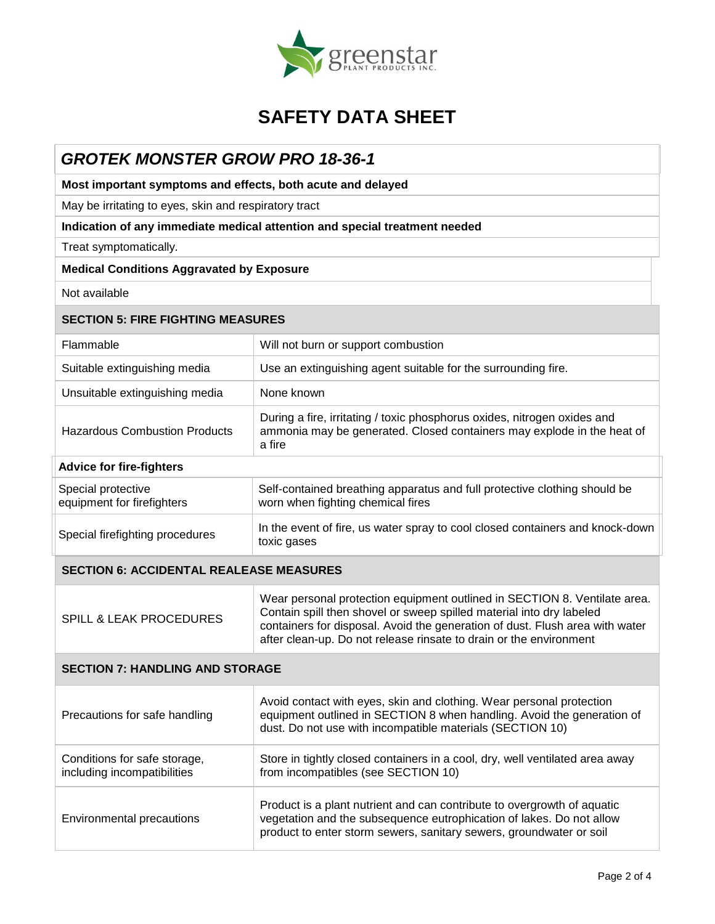

### *GROTEK MONSTER GROW PRO 18-36-1*

**Most important symptoms and effects, both acute and delayed**

May be irritating to eyes, skin and respiratory tract

### **Indication of any immediate medical attention and special treatment needed**

Treat symptomatically.

### **Medical Conditions Aggravated by Exposure**

Not available

| <b>SECTION 5: FIRE FIGHTING MEASURES</b>                    |                                                                                                                                                                                                                                                                                                         |  |  |
|-------------------------------------------------------------|---------------------------------------------------------------------------------------------------------------------------------------------------------------------------------------------------------------------------------------------------------------------------------------------------------|--|--|
| Flammable                                                   | Will not burn or support combustion                                                                                                                                                                                                                                                                     |  |  |
| Suitable extinguishing media                                | Use an extinguishing agent suitable for the surrounding fire.                                                                                                                                                                                                                                           |  |  |
| Unsuitable extinguishing media                              | None known                                                                                                                                                                                                                                                                                              |  |  |
| <b>Hazardous Combustion Products</b>                        | During a fire, irritating / toxic phosphorus oxides, nitrogen oxides and<br>ammonia may be generated. Closed containers may explode in the heat of<br>a fire                                                                                                                                            |  |  |
| <b>Advice for fire-fighters</b>                             |                                                                                                                                                                                                                                                                                                         |  |  |
| Special protective<br>equipment for firefighters            | Self-contained breathing apparatus and full protective clothing should be<br>worn when fighting chemical fires                                                                                                                                                                                          |  |  |
| Special firefighting procedures                             | In the event of fire, us water spray to cool closed containers and knock-down<br>toxic gases                                                                                                                                                                                                            |  |  |
| <b>SECTION 6: ACCIDENTAL REALEASE MEASURES</b>              |                                                                                                                                                                                                                                                                                                         |  |  |
| <b>SPILL &amp; LEAK PROCEDURES</b>                          | Wear personal protection equipment outlined in SECTION 8. Ventilate area.<br>Contain spill then shovel or sweep spilled material into dry labeled<br>containers for disposal. Avoid the generation of dust. Flush area with water<br>after clean-up. Do not release rinsate to drain or the environment |  |  |
| <b>SECTION 7: HANDLING AND STORAGE</b>                      |                                                                                                                                                                                                                                                                                                         |  |  |
| Precautions for safe handling                               | Avoid contact with eyes, skin and clothing. Wear personal protection<br>equipment outlined in SECTION 8 when handling. Avoid the generation of<br>dust. Do not use with incompatible materials (SECTION 10)                                                                                             |  |  |
| Conditions for safe storage,<br>including incompatibilities | Store in tightly closed containers in a cool, dry, well ventilated area away<br>from incompatibles (see SECTION 10)                                                                                                                                                                                     |  |  |
| <b>Environmental precautions</b>                            | Product is a plant nutrient and can contribute to overgrowth of aquatic<br>vegetation and the subsequence eutrophication of lakes. Do not allow<br>product to enter storm sewers, sanitary sewers, groundwater or soil                                                                                  |  |  |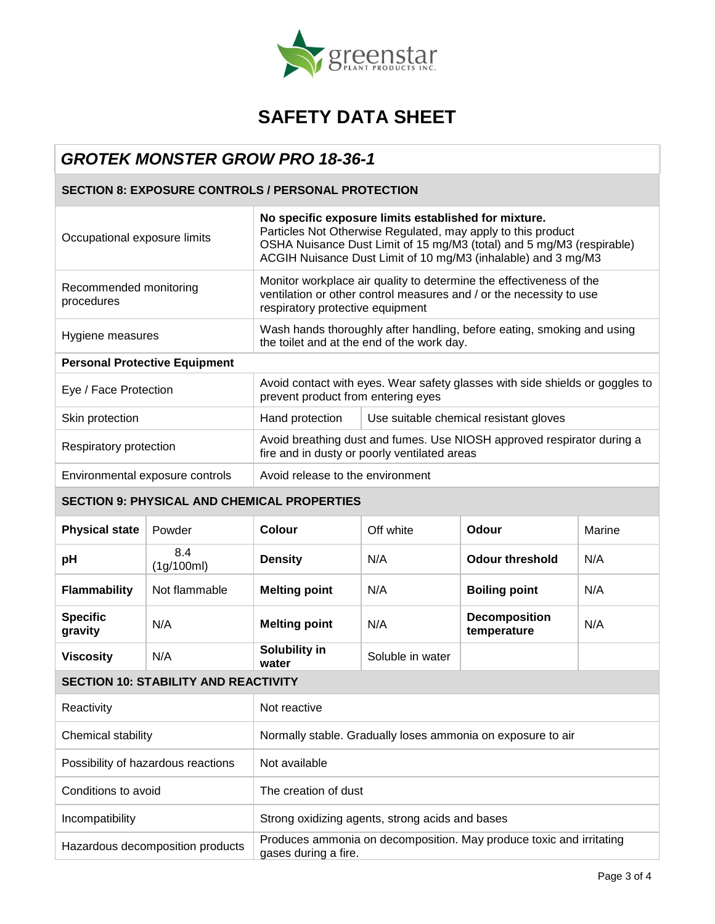

### *GROTEK MONSTER GROW PRO 18-36-1*

### **SECTION 8: EXPOSURE CONTROLS / PERSONAL PROTECTION**

| Occupational exposure limits                       |                                 | No specific exposure limits established for mixture.<br>Particles Not Otherwise Regulated, may apply to this product<br>OSHA Nuisance Dust Limit of 15 mg/M3 (total) and 5 mg/M3 (respirable)<br>ACGIH Nuisance Dust Limit of 10 mg/M3 (inhalable) and 3 mg/M3 |                                        |                                     |        |  |
|----------------------------------------------------|---------------------------------|----------------------------------------------------------------------------------------------------------------------------------------------------------------------------------------------------------------------------------------------------------------|----------------------------------------|-------------------------------------|--------|--|
| Recommended monitoring<br>procedures               |                                 | Monitor workplace air quality to determine the effectiveness of the<br>ventilation or other control measures and / or the necessity to use<br>respiratory protective equipment                                                                                 |                                        |                                     |        |  |
| Hygiene measures                                   |                                 | Wash hands thoroughly after handling, before eating, smoking and using<br>the toilet and at the end of the work day.                                                                                                                                           |                                        |                                     |        |  |
| <b>Personal Protective Equipment</b>               |                                 |                                                                                                                                                                                                                                                                |                                        |                                     |        |  |
| Eye / Face Protection                              |                                 | Avoid contact with eyes. Wear safety glasses with side shields or goggles to<br>prevent product from entering eyes                                                                                                                                             |                                        |                                     |        |  |
| Skin protection                                    |                                 | Hand protection                                                                                                                                                                                                                                                | Use suitable chemical resistant gloves |                                     |        |  |
| Respiratory protection                             |                                 | Avoid breathing dust and fumes. Use NIOSH approved respirator during a<br>fire and in dusty or poorly ventilated areas                                                                                                                                         |                                        |                                     |        |  |
|                                                    | Environmental exposure controls | Avoid release to the environment                                                                                                                                                                                                                               |                                        |                                     |        |  |
| <b>SECTION 9: PHYSICAL AND CHEMICAL PROPERTIES</b> |                                 |                                                                                                                                                                                                                                                                |                                        |                                     |        |  |
| <b>Physical state</b>                              | Powder                          | <b>Colour</b>                                                                                                                                                                                                                                                  | Off white                              | Odour                               | Marine |  |
| рH                                                 | 8.4<br>(1g/100ml)               | <b>Density</b>                                                                                                                                                                                                                                                 | N/A                                    | <b>Odour threshold</b>              | N/A    |  |
| <b>Flammability</b>                                | Not flammable                   | <b>Melting point</b>                                                                                                                                                                                                                                           | N/A                                    | <b>Boiling point</b>                | N/A    |  |
| <b>Specific</b><br>gravity                         | N/A                             | <b>Melting point</b>                                                                                                                                                                                                                                           | N/A                                    | <b>Decomposition</b><br>temperature | N/A    |  |
| <b>Viscosity</b>                                   | N/A                             | Solubility in<br>water                                                                                                                                                                                                                                         | Soluble in water                       |                                     |        |  |
| <b>SECTION 10: STABILITY AND REACTIVITY</b>        |                                 |                                                                                                                                                                                                                                                                |                                        |                                     |        |  |
| Reactivity                                         |                                 | Not reactive                                                                                                                                                                                                                                                   |                                        |                                     |        |  |
| Chemical stability                                 |                                 | Normally stable. Gradually loses ammonia on exposure to air                                                                                                                                                                                                    |                                        |                                     |        |  |
| Possibility of hazardous reactions                 |                                 | Not available                                                                                                                                                                                                                                                  |                                        |                                     |        |  |
| Conditions to avoid                                |                                 | The creation of dust                                                                                                                                                                                                                                           |                                        |                                     |        |  |
| Incompatibility                                    |                                 | Strong oxidizing agents, strong acids and bases                                                                                                                                                                                                                |                                        |                                     |        |  |
| Hazardous decomposition products                   |                                 | Produces ammonia on decomposition. May produce toxic and irritating<br>gases during a fire.                                                                                                                                                                    |                                        |                                     |        |  |